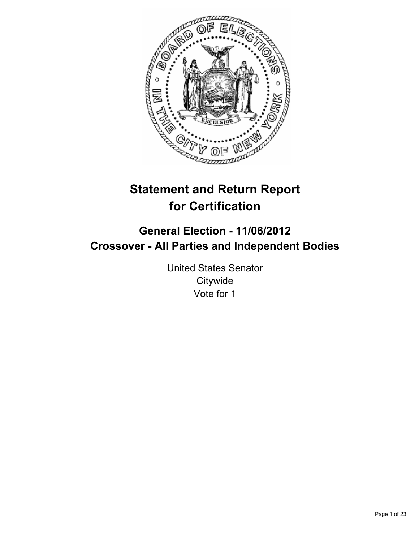

# **Statement and Return Report for Certification**

## **General Election - 11/06/2012 Crossover - All Parties and Independent Bodies**

United States Senator **Citywide** Vote for 1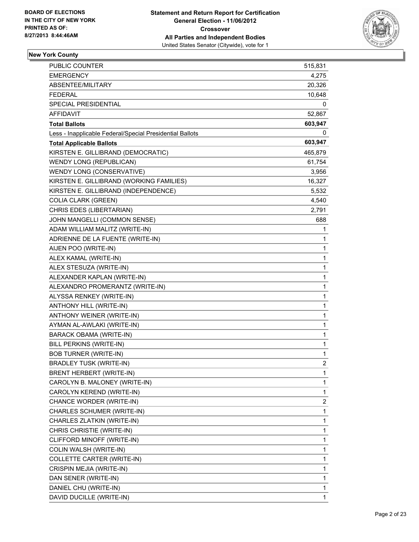

## **New York County**

| <b>PUBLIC COUNTER</b>                                    | 515,831                 |
|----------------------------------------------------------|-------------------------|
| <b>EMERGENCY</b>                                         | 4,275                   |
| ABSENTEE/MILITARY                                        | 20,326                  |
| <b>FEDERAL</b>                                           | 10,648                  |
| SPECIAL PRESIDENTIAL                                     | 0                       |
| AFFIDAVIT                                                | 52,867                  |
| <b>Total Ballots</b>                                     | 603,947                 |
| Less - Inapplicable Federal/Special Presidential Ballots | 0                       |
| <b>Total Applicable Ballots</b>                          | 603,947                 |
| KIRSTEN E. GILLIBRAND (DEMOCRATIC)                       | 465,879                 |
| <b>WENDY LONG (REPUBLICAN)</b>                           | 61,754                  |
| WENDY LONG (CONSERVATIVE)                                | 3,956                   |
| KIRSTEN E. GILLIBRAND (WORKING FAMILIES)                 | 16,327                  |
| KIRSTEN E. GILLIBRAND (INDEPENDENCE)                     | 5,532                   |
| <b>COLIA CLARK (GREEN)</b>                               | 4,540                   |
| CHRIS EDES (LIBERTARIAN)                                 | 2,791                   |
| JOHN MANGELLI (COMMON SENSE)                             | 688                     |
| ADAM WILLIAM MALITZ (WRITE-IN)                           | 1                       |
| ADRIENNE DE LA FUENTE (WRITE-IN)                         | 1                       |
| AIJEN POO (WRITE-IN)                                     | 1                       |
| ALEX KAMAL (WRITE-IN)                                    | 1                       |
| ALEX STESUZA (WRITE-IN)                                  | 1                       |
| ALEXANDER KAPLAN (WRITE-IN)                              | 1                       |
| ALEXANDRO PROMERANTZ (WRITE-IN)                          | 1                       |
| ALYSSA RENKEY (WRITE-IN)                                 | 1                       |
| ANTHONY HILL (WRITE-IN)                                  | 1                       |
| ANTHONY WEINER (WRITE-IN)                                | 1                       |
| AYMAN AL-AWLAKI (WRITE-IN)                               | 1                       |
| BARACK OBAMA (WRITE-IN)                                  | 1                       |
| <b>BILL PERKINS (WRITE-IN)</b>                           | 1                       |
| <b>BOB TURNER (WRITE-IN)</b>                             | 1                       |
| <b>BRADLEY TUSK (WRITE-IN)</b>                           | $\overline{2}$          |
| BRENT HERBERT (WRITE-IN)                                 | 1                       |
| CAROLYN B. MALONEY (WRITE-IN)                            | 1                       |
| CAROLYN KEREND (WRITE-IN)                                | 1                       |
| CHANCE WORDER (WRITE-IN)                                 | $\overline{\mathbf{c}}$ |
| CHARLES SCHUMER (WRITE-IN)                               | 1                       |
| CHARLES ZLATKIN (WRITE-IN)                               | 1                       |
| CHRIS CHRISTIE (WRITE-IN)                                | 1                       |
| CLIFFORD MINOFF (WRITE-IN)                               | 1                       |
| COLIN WALSH (WRITE-IN)                                   | 1                       |
| COLLETTE CARTER (WRITE-IN)                               | 1                       |
| CRISPIN MEJIA (WRITE-IN)                                 | 1                       |
| DAN SENER (WRITE-IN)                                     | 1                       |
| DANIEL CHU (WRITE-IN)                                    | 1                       |
| DAVID DUCILLE (WRITE-IN)                                 | 1                       |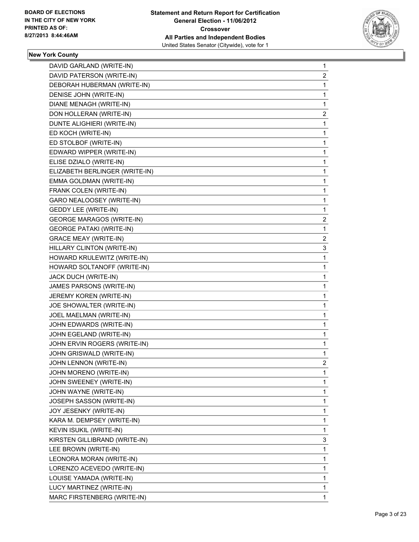

#### **New York County**

| DAVID GARLAND (WRITE-IN)         | 1            |
|----------------------------------|--------------|
| DAVID PATERSON (WRITE-IN)        | 2            |
| DEBORAH HUBERMAN (WRITE-IN)      | 1            |
| DENISE JOHN (WRITE-IN)           | 1            |
| DIANE MENAGH (WRITE-IN)          | 1            |
| DON HOLLERAN (WRITE-IN)          | 2            |
| DUNTE ALIGHIERI (WRITE-IN)       | 1            |
| ED KOCH (WRITE-IN)               | 1            |
| ED STOLBOF (WRITE-IN)            | 1            |
| EDWARD WIPPER (WRITE-IN)         | 1            |
| ELISE DZIALO (WRITE-IN)          | 1            |
| ELIZABETH BERLINGER (WRITE-IN)   | 1            |
| EMMA GOLDMAN (WRITE-IN)          | 1            |
| FRANK COLEN (WRITE-IN)           | 1            |
| GARO NEALOOSEY (WRITE-IN)        | 1            |
| <b>GEDDY LEE (WRITE-IN)</b>      | 1            |
| <b>GEORGE MARAGOS (WRITE-IN)</b> | 2            |
| <b>GEORGE PATAKI (WRITE-IN)</b>  | 1            |
| <b>GRACE MEAY (WRITE-IN)</b>     | 2            |
| HILLARY CLINTON (WRITE-IN)       | 3            |
| HOWARD KRULEWITZ (WRITE-IN)      | 1            |
| HOWARD SOLTANOFF (WRITE-IN)      | 1            |
| JACK DUCH (WRITE-IN)             | 1            |
| JAMES PARSONS (WRITE-IN)         | 1            |
| JEREMY KOREN (WRITE-IN)          | 1            |
| JOE SHOWALTER (WRITE-IN)         | 1            |
| JOEL MAELMAN (WRITE-IN)          | 1            |
| JOHN EDWARDS (WRITE-IN)          | 1            |
| JOHN EGELAND (WRITE-IN)          | 1            |
| JOHN ERVIN ROGERS (WRITE-IN)     | 1            |
| JOHN GRISWALD (WRITE-IN)         | 1            |
| JOHN LENNON (WRITE-IN)           | 2            |
| JOHN MORENO (WRITE-IN)           | 1            |
| JOHN SWEENEY (WRITE-IN)          | 1            |
| JOHN WAYNE (WRITE-IN)            | 1            |
| JOSEPH SASSON (WRITE-IN)         | 1            |
| JOY JESENKY (WRITE-IN)           | 1            |
| KARA M. DEMPSEY (WRITE-IN)       | 1            |
| KEVIN ISUKIL (WRITE-IN)          | 1            |
| KIRSTEN GILLIBRAND (WRITE-IN)    | 3            |
| LEE BROWN (WRITE-IN)             | 1            |
| LEONORA MORAN (WRITE-IN)         | 1            |
| LORENZO ACEVEDO (WRITE-IN)       | 1            |
| LOUISE YAMADA (WRITE-IN)         | 1            |
| LUCY MARTINEZ (WRITE-IN)         | 1            |
| MARC FIRSTENBERG (WRITE-IN)      | $\mathbf{1}$ |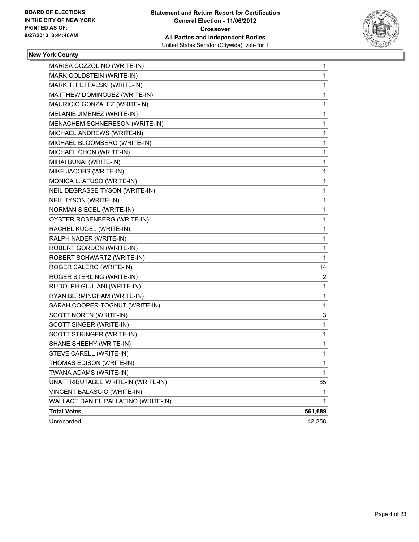

## **New York County**

| MARISA COZZOLINO (WRITE-IN)         | 1       |
|-------------------------------------|---------|
| MARK GOLDSTEIN (WRITE-IN)           | 1       |
| MARK T. PETFALSKI (WRITE-IN)        | 1       |
| MATTHEW DOMINGUEZ (WRITE-IN)        | 1       |
| MAURICIO GONZALEZ (WRITE-IN)        | 1       |
| MELANIE JIMENEZ (WRITE-IN)          | 1       |
| MENACHEM SCHNERESON (WRITE-IN)      | 1       |
| MICHAEL ANDREWS (WRITE-IN)          | 1       |
| MICHAEL BLOOMBERG (WRITE-IN)        | 1       |
| MICHAEL CHON (WRITE-IN)             | 1       |
| MIHAI BUNAI (WRITE-IN)              | 1       |
| MIKE JACOBS (WRITE-IN)              | 1       |
| MONICA L. ATUSO (WRITE-IN)          | 1       |
| NEIL DEGRASSE TYSON (WRITE-IN)      | 1       |
| NEIL TYSON (WRITE-IN)               | 1       |
| NORMAN SIEGEL (WRITE-IN)            | 1       |
| OYSTER ROSENBERG (WRITE-IN)         | 1       |
| RACHEL KUGEL (WRITE-IN)             | 1       |
| RALPH NADER (WRITE-IN)              | 1       |
| ROBERT GORDON (WRITE-IN)            | 1       |
| ROBERT SCHWARTZ (WRITE-IN)          | 1       |
| ROGER CALERO (WRITE-IN)             | 14      |
| ROGER STERLING (WRITE-IN)           | 2       |
| RUDOLPH GIULIANI (WRITE-IN)         | 1       |
| RYAN BERMINGHAM (WRITE-IN)          | 1       |
| SARAH COOPER-TOGNUT (WRITE-IN)      | 1       |
| SCOTT NOREN (WRITE-IN)              | 3       |
| SCOTT SINGER (WRITE-IN)             | 1       |
| SCOTT STRINGER (WRITE-IN)           | 1       |
| SHANE SHEEHY (WRITE-IN)             | 1       |
| STEVE CARELL (WRITE-IN)             | 1       |
| THOMAS EDISON (WRITE-IN)            | 1       |
| TWANA ADAMS (WRITE-IN)              | 1       |
| UNATTRIBUTABLE WRITE-IN (WRITE-IN)  | 85      |
| VINCENT BALASCIO (WRITE-IN)         | 1       |
| WALLACE DANIEL PALLATINO (WRITE-IN) | 1       |
| <b>Total Votes</b>                  | 561,689 |
| Unrecorded                          | 42,258  |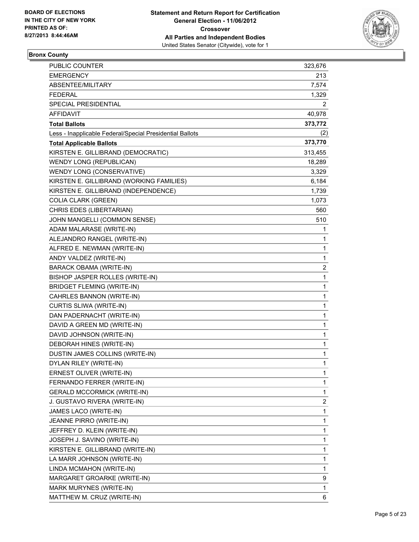

## **Bronx County**

| <b>PUBLIC COUNTER</b>                                    | 323,676                 |
|----------------------------------------------------------|-------------------------|
| <b>EMERGENCY</b>                                         | 213                     |
| ABSENTEE/MILITARY                                        | 7,574                   |
| <b>FEDERAL</b>                                           | 1,329                   |
| SPECIAL PRESIDENTIAL                                     | 2                       |
| AFFIDAVIT                                                | 40,978                  |
| <b>Total Ballots</b>                                     | 373,772                 |
| Less - Inapplicable Federal/Special Presidential Ballots | (2)                     |
| <b>Total Applicable Ballots</b>                          | 373,770                 |
| KIRSTEN E. GILLIBRAND (DEMOCRATIC)                       | 313,455                 |
| WENDY LONG (REPUBLICAN)                                  | 18,289                  |
| WENDY LONG (CONSERVATIVE)                                | 3,329                   |
| KIRSTEN E. GILLIBRAND (WORKING FAMILIES)                 | 6,184                   |
| KIRSTEN E. GILLIBRAND (INDEPENDENCE)                     | 1,739                   |
| <b>COLIA CLARK (GREEN)</b>                               | 1,073                   |
| CHRIS EDES (LIBERTARIAN)                                 | 560                     |
| JOHN MANGELLI (COMMON SENSE)                             | 510                     |
| ADAM MALARASE (WRITE-IN)                                 | 1                       |
| ALEJANDRO RANGEL (WRITE-IN)                              | 1                       |
| ALFRED E. NEWMAN (WRITE-IN)                              | 1                       |
| ANDY VALDEZ (WRITE-IN)                                   | 1                       |
| BARACK OBAMA (WRITE-IN)                                  | $\overline{\mathbf{c}}$ |
| BISHOP JASPER ROLLES (WRITE-IN)                          | 1                       |
| <b>BRIDGET FLEMING (WRITE-IN)</b>                        | 1                       |
| CAHRLES BANNON (WRITE-IN)                                | 1                       |
| CURTIS SLIWA (WRITE-IN)                                  | 1                       |
| DAN PADERNACHT (WRITE-IN)                                | 1                       |
| DAVID A GREEN MD (WRITE-IN)                              | 1                       |
| DAVID JOHNSON (WRITE-IN)                                 | 1                       |
| DEBORAH HINES (WRITE-IN)                                 | 1                       |
| DUSTIN JAMES COLLINS (WRITE-IN)                          | 1                       |
| DYLAN RILEY (WRITE-IN)                                   | 1                       |
| ERNEST OLIVER (WRITE-IN)                                 | 1                       |
| FERNANDO FERRER (WRITE-IN)                               | 1                       |
| <b>GERALD MCCORMICK (WRITE-IN)</b>                       | 1                       |
| J. GUSTAVO RIVERA (WRITE-IN)                             | 2                       |
| JAMES LACO (WRITE-IN)                                    | 1                       |
| JEANNE PIRRO (WRITE-IN)                                  | 1                       |
| JEFFREY D. KLEIN (WRITE-IN)                              | 1                       |
| JOSEPH J. SAVINO (WRITE-IN)                              | 1                       |
| KIRSTEN E. GILLIBRAND (WRITE-IN)                         | 1                       |
| LA MARR JOHNSON (WRITE-IN)                               | 1                       |
| LINDA MCMAHON (WRITE-IN)                                 | 1                       |
| MARGARET GROARKE (WRITE-IN)                              | 9                       |
| MARK MURYNES (WRITE-IN)                                  | 1                       |
| MATTHEW M. CRUZ (WRITE-IN)                               | 6                       |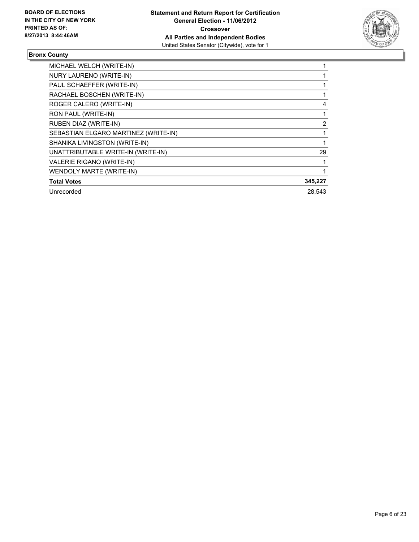

## **Bronx County**

| MICHAEL WELCH (WRITE-IN)             |                |
|--------------------------------------|----------------|
| NURY LAURENO (WRITE-IN)              |                |
| PAUL SCHAEFFER (WRITE-IN)            |                |
| RACHAEL BOSCHEN (WRITE-IN)           |                |
| ROGER CALERO (WRITE-IN)              | 4              |
| RON PAUL (WRITE-IN)                  |                |
| <b>RUBEN DIAZ (WRITE-IN)</b>         | $\overline{2}$ |
| SEBASTIAN ELGARO MARTINEZ (WRITE-IN) |                |
| SHANIKA LIVINGSTON (WRITE-IN)        |                |
| UNATTRIBUTABLE WRITE-IN (WRITE-IN)   | 29             |
| VALERIE RIGANO (WRITE-IN)            |                |
| <b>WENDOLY MARTE (WRITE-IN)</b>      |                |
| <b>Total Votes</b>                   | 345,227        |
| Unrecorded                           | 28,543         |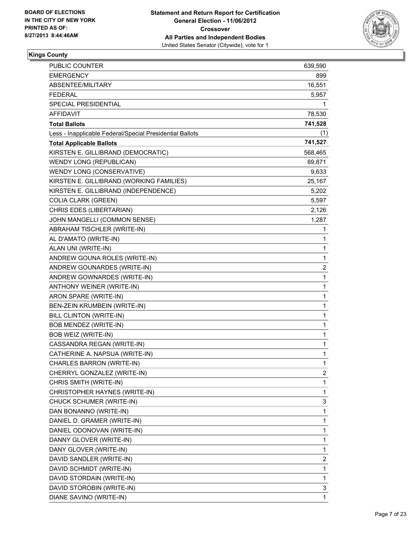

#### **Kings County**

| <b>PUBLIC COUNTER</b>                                    | 639,590      |
|----------------------------------------------------------|--------------|
| <b>EMERGENCY</b>                                         | 899          |
| ABSENTEE/MILITARY                                        | 16,551       |
| <b>FEDERAL</b>                                           | 5,957        |
| SPECIAL PRESIDENTIAL                                     | 1            |
| AFFIDAVIT                                                | 78,530       |
| <b>Total Ballots</b>                                     | 741,528      |
| Less - Inapplicable Federal/Special Presidential Ballots | (1)          |
| <b>Total Applicable Ballots</b>                          | 741,527      |
| KIRSTEN E. GILLIBRAND (DEMOCRATIC)                       | 568,465      |
| WENDY LONG (REPUBLICAN)                                  | 69,871       |
| WENDY LONG (CONSERVATIVE)                                | 9,633        |
| KIRSTEN E. GILLIBRAND (WORKING FAMILIES)                 | 25,167       |
| KIRSTEN E. GILLIBRAND (INDEPENDENCE)                     | 5,202        |
| <b>COLIA CLARK (GREEN)</b>                               | 5,597        |
| CHRIS EDES (LIBERTARIAN)                                 | 2,126        |
| JOHN MANGELLI (COMMON SENSE)                             | 1,287        |
| ABRAHAM TISCHLER (WRITE-IN)                              | 1            |
| AL D'AMATO (WRITE-IN)                                    | 1            |
| ALAN UNI (WRITE-IN)                                      | 1            |
| ANDREW GOUNA ROLES (WRITE-IN)                            | 1            |
| ANDREW GOUNARDES (WRITE-IN)                              | 2            |
| ANDREW GOWNARDES (WRITE-IN)                              | 1            |
| ANTHONY WEINER (WRITE-IN)                                | 1            |
| ARON SPARE (WRITE-IN)                                    | 1            |
| BEN-ZEIN KRUMBEIN (WRITE-IN)                             | 1            |
| BILL CLINTON (WRITE-IN)                                  | 1            |
| BOB MENDEZ (WRITE-IN)                                    | 1            |
| BOB WEIZ (WRITE-IN)                                      | 1            |
| CASSANDRA REGAN (WRITE-IN)                               | 1            |
| CATHERINE A. NAPSUA (WRITE-IN)                           | 1            |
| <b>CHARLES BARRON (WRITE-IN)</b>                         | $\mathbf{1}$ |
| CHERRYL GONZALEZ (WRITE-IN)                              | 2            |
| CHRIS SMITH (WRITE-IN)                                   | 1            |
| CHRISTOPHER HAYNES (WRITE-IN)                            | 1            |
| CHUCK SCHUMER (WRITE-IN)                                 | 3            |
| DAN BONANNO (WRITE-IN)                                   | 1            |
| DANIEL D. GRAMER (WRITE-IN)                              | 1            |
| DANIEL ODONOVAN (WRITE-IN)                               | 1            |
| DANNY GLOVER (WRITE-IN)                                  | 1            |
| DANY GLOVER (WRITE-IN)                                   | 1            |
| DAVID SANDLER (WRITE-IN)                                 | 2            |
| DAVID SCHMIDT (WRITE-IN)                                 | 1            |
| DAVID STORDAIN (WRITE-IN)                                | 1            |
| DAVID STOROBIN (WRITE-IN)                                | 3            |
| DIANE SAVINO (WRITE-IN)                                  | 1            |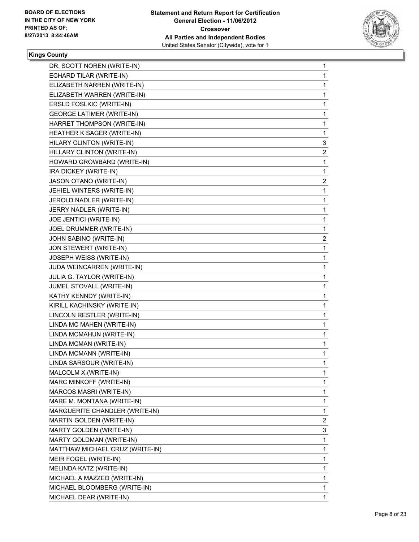

#### **Kings County**

| DR. SCOTT NOREN (WRITE-IN)       | 1              |
|----------------------------------|----------------|
| ECHARD TILAR (WRITE-IN)          | 1              |
| ELIZABETH NARREN (WRITE-IN)      | 1              |
| ELIZABETH WARREN (WRITE-IN)      | 1              |
| ERSLD FOSLKIC (WRITE-IN)         | 1              |
| <b>GEORGE LATIMER (WRITE-IN)</b> | 1              |
| HARRET THOMPSON (WRITE-IN)       | 1              |
| HEATHER K SAGER (WRITE-IN)       | 1              |
| HILARY CLINTON (WRITE-IN)        | 3              |
| HILLARY CLINTON (WRITE-IN)       | $\mathbf{2}$   |
| HOWARD GROWBARD (WRITE-IN)       | 1              |
| IRA DICKEY (WRITE-IN)            | 1              |
| JASON OTANO (WRITE-IN)           | $\mathbf{2}$   |
| JEHIEL WINTERS (WRITE-IN)        | 1              |
| JEROLD NADLER (WRITE-IN)         | 1              |
| JERRY NADLER (WRITE-IN)          | 1              |
| JOE JENTICI (WRITE-IN)           | 1              |
| JOEL DRUMMER (WRITE-IN)          | 1              |
| JOHN SABINO (WRITE-IN)           | $\mathbf{2}$   |
| JON STEWERT (WRITE-IN)           | 1              |
| JOSEPH WEISS (WRITE-IN)          | 1              |
| JUDA WEINCARREN (WRITE-IN)       | 1              |
| JULIA G. TAYLOR (WRITE-IN)       | 1              |
| JUMEL STOVALL (WRITE-IN)         | 1              |
| KATHY KENNDY (WRITE-IN)          | 1              |
| KIRILL KACHINSKY (WRITE-IN)      | 1              |
| LINCOLN RESTLER (WRITE-IN)       | 1              |
| LINDA MC MAHEN (WRITE-IN)        | 1              |
| LINDA MCMAHUN (WRITE-IN)         | 1              |
| LINDA MCMAN (WRITE-IN)           | 1              |
| LINDA MCMANN (WRITE-IN)          | 1              |
| LINDA SARSOUR (WRITE-IN)         | 1              |
| MALCOLM X (WRITE-IN)             | 1              |
| MARC MINKOFF (WRITE-IN)          | 1              |
| MARCOS MASRI (WRITE-IN)          | 1              |
| MARE M. MONTANA (WRITE-IN)       | 1              |
| MARGUERITE CHANDLER (WRITE-IN)   | 1              |
| MARTIN GOLDEN (WRITE-IN)         | $\overline{2}$ |
| MARTY GOLDEN (WRITE-IN)          | 3              |
| MARTY GOLDMAN (WRITE-IN)         | 1              |
| MATTHAW MICHAEL CRUZ (WRITE-IN)  | 1              |
| MEIR FOGEL (WRITE-IN)            | 1              |
| MELINDA KATZ (WRITE-IN)          | 1              |
| MICHAEL A MAZZEO (WRITE-IN)      | 1              |
| MICHAEL BLOOMBERG (WRITE-IN)     | 1              |
| MICHAEL DEAR (WRITE-IN)          | $\mathbf{1}$   |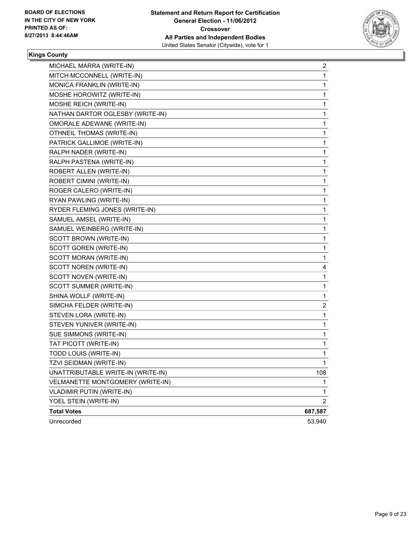

#### **Kings County**

| MICHAEL MARRA (WRITE-IN)           | 2              |
|------------------------------------|----------------|
| MITCH MCCONNELL (WRITE-IN)         | 1              |
| MONICA FRANKLIN (WRITE-IN)         | 1              |
| MOSHE HOROWITZ (WRITE-IN)          | 1              |
| MOSHE REICH (WRITE-IN)             | 1              |
| NATHAN DARTOR OGLESBY (WRITE-IN)   | 1              |
| OMORALE ADEWANE (WRITE-IN)         | 1              |
| OTHNEIL THOMAS (WRITE-IN)          | 1              |
| PATRICK GALLIMOE (WRITE-IN)        | 1              |
| RALPH NADER (WRITE-IN)             | 1              |
| RALPH PASTENA (WRITE-IN)           | 1              |
| ROBERT ALLEN (WRITE-IN)            | 1              |
| ROBERT CIMINI (WRITE-IN)           | 1              |
| ROGER CALERO (WRITE-IN)            | 1              |
| RYAN PAWLING (WRITE-IN)            | 1              |
| RYDER FLEMING JONES (WRITE-IN)     | 1              |
| SAMUEL AMSEL (WRITE-IN)            | 1              |
| SAMUEL WEINBERG (WRITE-IN)         | 1              |
| SCOTT BROWN (WRITE-IN)             | 1              |
| SCOTT GOREN (WRITE-IN)             | 1              |
| SCOTT MORAN (WRITE-IN)             | 1              |
| SCOTT NOREN (WRITE-IN)             | 4              |
| SCOTT NOVEN (WRITE-IN)             | 1              |
| SCOTT SUMMER (WRITE-IN)            | 1              |
| SHINA WOLLF (WRITE-IN)             | 1              |
| SIMCHA FELDER (WRITE-IN)           | 2              |
| STEVEN LORA (WRITE-IN)             | 1              |
| STEVEN YUNIVER (WRITE-IN)          | 1              |
| SUE SIMMONS (WRITE-IN)             | 1              |
| TAT PICOTT (WRITE-IN)              | 1              |
| TODD LOUIS (WRITE-IN)              | 1              |
| TZVI SEIDMAN (WRITE-IN)            | 1              |
| UNATTRIBUTABLE WRITE-IN (WRITE-IN) | 108            |
| VELMANETTE MONTGOMERY (WRITE-IN)   | 1              |
| <b>VLADIMIR PUTIN (WRITE-IN)</b>   | 1              |
| YOEL STEIN (WRITE-IN)              | $\overline{2}$ |
| <b>Total Votes</b>                 | 687,587        |
| Unrecorded                         | 53,940         |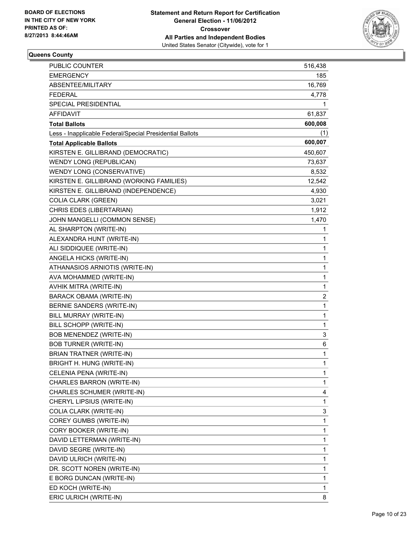

#### **Queens County**

| PUBLIC COUNTER                                           | 516,438      |
|----------------------------------------------------------|--------------|
| <b>EMERGENCY</b>                                         | 185          |
| ABSENTEE/MILITARY                                        | 16,769       |
| <b>FEDERAL</b>                                           | 4,778        |
| SPECIAL PRESIDENTIAL                                     | 1            |
| AFFIDAVIT                                                | 61,837       |
| <b>Total Ballots</b>                                     | 600,008      |
| Less - Inapplicable Federal/Special Presidential Ballots | (1)          |
| <b>Total Applicable Ballots</b>                          | 600,007      |
| KIRSTEN E. GILLIBRAND (DEMOCRATIC)                       | 450,607      |
| WENDY LONG (REPUBLICAN)                                  | 73,637       |
| WENDY LONG (CONSERVATIVE)                                | 8,532        |
| KIRSTEN E. GILLIBRAND (WORKING FAMILIES)                 | 12,542       |
| KIRSTEN E. GILLIBRAND (INDEPENDENCE)                     | 4,930        |
| <b>COLIA CLARK (GREEN)</b>                               | 3,021        |
| CHRIS EDES (LIBERTARIAN)                                 | 1,912        |
| JOHN MANGELLI (COMMON SENSE)                             | 1,470        |
| AL SHARPTON (WRITE-IN)                                   | 1            |
| ALEXANDRA HUNT (WRITE-IN)                                | 1            |
| ALI SIDDIQUEE (WRITE-IN)                                 | 1            |
| ANGELA HICKS (WRITE-IN)                                  | 1            |
| ATHANASIOS ARNIOTIS (WRITE-IN)                           | 1            |
| AVA MOHAMMED (WRITE-IN)                                  | 1            |
| AVHIK MITRA (WRITE-IN)                                   | 1            |
| BARACK OBAMA (WRITE-IN)                                  | 2            |
| BERNIE SANDERS (WRITE-IN)                                | 1            |
| BILL MURRAY (WRITE-IN)                                   | 1            |
| BILL SCHOPP (WRITE-IN)                                   | 1            |
| BOB MENENDEZ (WRITE-IN)                                  | 3            |
| <b>BOB TURNER (WRITE-IN)</b>                             | 6            |
| <b>BRIAN TRATNER (WRITE-IN)</b>                          | 1            |
| <b>BRIGHT H. HUNG (WRITE-IN)</b>                         | $\mathbf{1}$ |
| CELENIA PENA (WRITE-IN)                                  | 1            |
| CHARLES BARRON (WRITE-IN)                                | 1            |
| CHARLES SCHUMER (WRITE-IN)                               | 4            |
| CHERYL LIPSIUS (WRITE-IN)                                | 1            |
| COLIA CLARK (WRITE-IN)                                   | 3            |
| COREY GUMBS (WRITE-IN)                                   | 1            |
| CORY BOOKER (WRITE-IN)                                   | 1            |
| DAVID LETTERMAN (WRITE-IN)                               | 1            |
| DAVID SEGRE (WRITE-IN)                                   | 1            |
| DAVID ULRICH (WRITE-IN)                                  | 1            |
| DR. SCOTT NOREN (WRITE-IN)                               | 1            |
| E BORG DUNCAN (WRITE-IN)                                 | 1            |
| ED KOCH (WRITE-IN)                                       | 1            |
| ERIC ULRICH (WRITE-IN)                                   | 8            |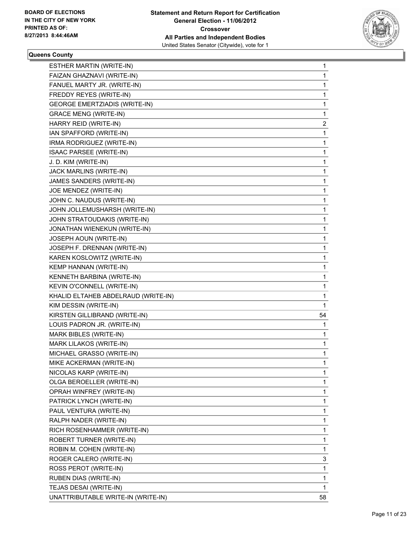

#### **Queens County**

| ESTHER MARTIN (WRITE-IN)             | 1  |
|--------------------------------------|----|
| FAIZAN GHAZNAVI (WRITE-IN)           | 1  |
| FANUEL MARTY JR. (WRITE-IN)          | 1  |
| FREDDY REYES (WRITE-IN)              | 1  |
| <b>GEORGE EMERTZIADIS (WRITE-IN)</b> | 1  |
| <b>GRACE MENG (WRITE-IN)</b>         | 1  |
| HARRY REID (WRITE-IN)                | 2  |
| IAN SPAFFORD (WRITE-IN)              | 1  |
| IRMA RODRIGUEZ (WRITE-IN)            | 1  |
| <b>ISAAC PARSEE (WRITE-IN)</b>       | 1  |
| J. D. KIM (WRITE-IN)                 | 1  |
| JACK MARLINS (WRITE-IN)              | 1  |
| JAMES SANDERS (WRITE-IN)             | 1  |
| JOE MENDEZ (WRITE-IN)                | 1  |
| JOHN C. NAUDUS (WRITE-IN)            | 1  |
| JOHN JOLLEMUSHARSH (WRITE-IN)        | 1  |
| JOHN STRATOUDAKIS (WRITE-IN)         | 1  |
| JONATHAN WIENEKUN (WRITE-IN)         | 1  |
| JOSEPH AOUN (WRITE-IN)               | 1  |
| JOSEPH F. DRENNAN (WRITE-IN)         | 1  |
| KAREN KOSLOWITZ (WRITE-IN)           | 1  |
| KEMP HANNAN (WRITE-IN)               | 1  |
| KENNETH BARBINA (WRITE-IN)           | 1  |
| KEVIN O'CONNELL (WRITE-IN)           | 1  |
| KHALID ELTAHEB ABDELRAUD (WRITE-IN)  | 1  |
| KIM DESSIN (WRITE-IN)                | 1  |
| KIRSTEN GILLIBRAND (WRITE-IN)        | 54 |
| LOUIS PADRON JR. (WRITE-IN)          | 1  |
| MARK BIBLES (WRITE-IN)               | 1  |
| MARK LILAKOS (WRITE-IN)              | 1  |
| MICHAEL GRASSO (WRITE-IN)            | 1  |
| MIKE ACKERMAN (WRITE-IN)             | 1  |
| NICOLAS KARP (WRITE-IN)              | 1  |
| OLGA BEROELLER (WRITE-IN)            | 1  |
| OPRAH WINFREY (WRITE-IN)             | 1  |
| PATRICK LYNCH (WRITE-IN)             | 1  |
| PAUL VENTURA (WRITE-IN)              | 1  |
| RALPH NADER (WRITE-IN)               | 1  |
| RICH ROSENHAMMER (WRITE-IN)          | 1  |
| ROBERT TURNER (WRITE-IN)             | 1  |
| ROBIN M. COHEN (WRITE-IN)            | 1  |
| ROGER CALERO (WRITE-IN)              | 3  |
| ROSS PEROT (WRITE-IN)                | 1  |
| RUBEN DIAS (WRITE-IN)                | 1  |
| TEJAS DESAI (WRITE-IN)               | 1  |
| UNATTRIBUTABLE WRITE-IN (WRITE-IN)   | 58 |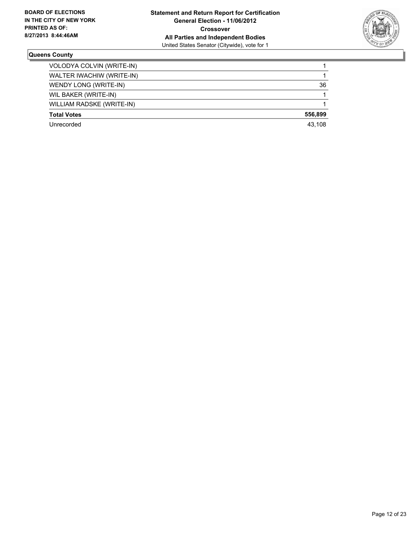

#### **Queens County**

| VOLODYA COLVIN (WRITE-IN) |         |
|---------------------------|---------|
| WALTER IWACHIW (WRITE-IN) |         |
| WENDY LONG (WRITE-IN)     | 36      |
| WIL BAKER (WRITE-IN)      |         |
| WILLIAM RADSKE (WRITE-IN) |         |
| <b>Total Votes</b>        | 556.899 |
| Unrecorded                | 43.108  |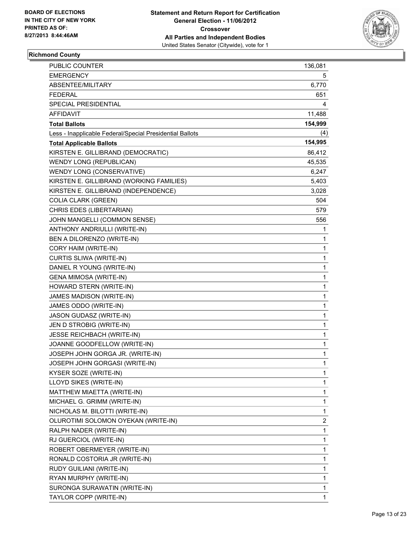

#### **Richmond County**

| PUBLIC COUNTER                                           | 136,081      |
|----------------------------------------------------------|--------------|
| <b>EMERGENCY</b>                                         | 5            |
| ABSENTEE/MILITARY                                        | 6,770        |
| FEDERAL                                                  | 651          |
| SPECIAL PRESIDENTIAL                                     | 4            |
| AFFIDAVIT                                                | 11,488       |
| <b>Total Ballots</b>                                     | 154,999      |
| Less - Inapplicable Federal/Special Presidential Ballots | (4)          |
| <b>Total Applicable Ballots</b>                          | 154,995      |
| KIRSTEN E. GILLIBRAND (DEMOCRATIC)                       | 86,412       |
| <b>WENDY LONG (REPUBLICAN)</b>                           | 45,535       |
| WENDY LONG (CONSERVATIVE)                                | 6,247        |
| KIRSTEN E. GILLIBRAND (WORKING FAMILIES)                 | 5,403        |
| KIRSTEN E. GILLIBRAND (INDEPENDENCE)                     | 3,028        |
| <b>COLIA CLARK (GREEN)</b>                               | 504          |
| CHRIS EDES (LIBERTARIAN)                                 | 579          |
| JOHN MANGELLI (COMMON SENSE)                             | 556          |
| ANTHONY ANDRIULLI (WRITE-IN)                             | 1            |
| BEN A DILORENZO (WRITE-IN)                               | 1            |
| CORY HAIM (WRITE-IN)                                     | 1            |
| CURTIS SLIWA (WRITE-IN)                                  | 1            |
| DANIEL R YOUNG (WRITE-IN)                                | 1            |
| <b>GENA MIMOSA (WRITE-IN)</b>                            | 1            |
| HOWARD STERN (WRITE-IN)                                  | 1            |
| JAMES MADISON (WRITE-IN)                                 | 1            |
| JAMES ODDO (WRITE-IN)                                    | 1            |
| JASON GUDASZ (WRITE-IN)                                  | 1            |
| JEN D STROBIG (WRITE-IN)                                 | 1            |
| JESSE REICHBACH (WRITE-IN)                               | 1            |
| JOANNE GOODFELLOW (WRITE-IN)                             | 1            |
| JOSEPH JOHN GORGA JR. (WRITE-IN)                         | 1            |
| JOSEPH JOHN GORGASI (WRITE-IN)                           | $\mathbf{1}$ |
| KYSER SOZE (WRITE-IN)                                    | 1            |
| LLOYD SIKES (WRITE-IN)                                   | 1            |
| MATTHEW MIAETTA (WRITE-IN)                               | 1            |
| MICHAEL G. GRIMM (WRITE-IN)                              | 1            |
| NICHOLAS M. BILOTTI (WRITE-IN)                           | 1            |
| OLUROTIMI SOLOMON OYEKAN (WRITE-IN)                      | 2            |
| RALPH NADER (WRITE-IN)                                   | 1            |
| RJ GUERCIOL (WRITE-IN)                                   | 1            |
| ROBERT OBERMEYER (WRITE-IN)                              | 1            |
| RONALD COSTORIA JR (WRITE-IN)                            | 1            |
| RUDY GUILIANI (WRITE-IN)                                 | 1            |
| RYAN MURPHY (WRITE-IN)                                   | 1            |
| SURONGA SURAWATIN (WRITE-IN)                             | 1            |
| TAYLOR COPP (WRITE-IN)                                   | 1            |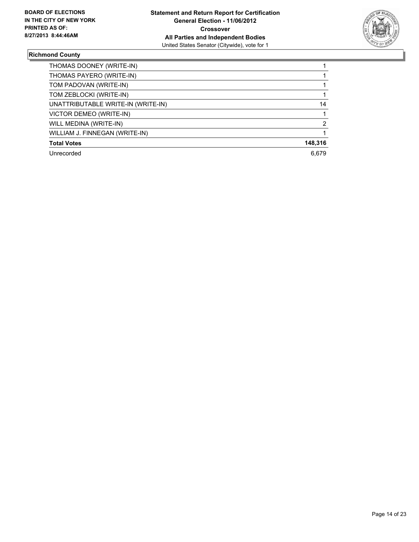

#### **Richmond County**

| THOMAS DOONEY (WRITE-IN)           |         |
|------------------------------------|---------|
| THOMAS PAYERO (WRITE-IN)           |         |
| TOM PADOVAN (WRITE-IN)             |         |
| TOM ZEBLOCKI (WRITE-IN)            |         |
| UNATTRIBUTABLE WRITE-IN (WRITE-IN) | 14      |
| VICTOR DEMEO (WRITE-IN)            |         |
| WILL MEDINA (WRITE-IN)             | 2       |
| WILLIAM J. FINNEGAN (WRITE-IN)     |         |
| <b>Total Votes</b>                 | 148,316 |
| Unrecorded                         | 6.679   |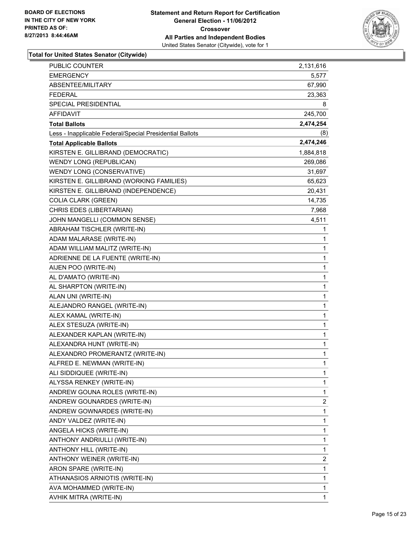

| PUBLIC COUNTER                                           | 2,131,616 |
|----------------------------------------------------------|-----------|
| <b>EMERGENCY</b>                                         | 5,577     |
| ABSENTEE/MILITARY                                        | 67,990    |
| <b>FEDERAL</b>                                           | 23,363    |
| SPECIAL PRESIDENTIAL                                     | 8         |
| AFFIDAVIT                                                | 245,700   |
| <b>Total Ballots</b>                                     | 2,474,254 |
| Less - Inapplicable Federal/Special Presidential Ballots | (8)       |
| <b>Total Applicable Ballots</b>                          | 2,474,246 |
| KIRSTEN E. GILLIBRAND (DEMOCRATIC)                       | 1,884,818 |
| <b>WENDY LONG (REPUBLICAN)</b>                           | 269,086   |
| WENDY LONG (CONSERVATIVE)                                | 31,697    |
| KIRSTEN E. GILLIBRAND (WORKING FAMILIES)                 | 65,623    |
| KIRSTEN E. GILLIBRAND (INDEPENDENCE)                     | 20,431    |
| <b>COLIA CLARK (GREEN)</b>                               | 14,735    |
| CHRIS EDES (LIBERTARIAN)                                 | 7,968     |
| JOHN MANGELLI (COMMON SENSE)                             | 4,511     |
| ABRAHAM TISCHLER (WRITE-IN)                              | 1         |
| ADAM MALARASE (WRITE-IN)                                 | 1         |
| ADAM WILLIAM MALITZ (WRITE-IN)                           | 1         |
| ADRIENNE DE LA FUENTE (WRITE-IN)                         | 1         |
| AIJEN POO (WRITE-IN)                                     | 1         |
| AL D'AMATO (WRITE-IN)                                    | 1         |
| AL SHARPTON (WRITE-IN)                                   | 1         |
| ALAN UNI (WRITE-IN)                                      | 1         |
| ALEJANDRO RANGEL (WRITE-IN)                              | 1         |
| ALEX KAMAL (WRITE-IN)                                    | 1         |
| ALEX STESUZA (WRITE-IN)                                  | 1         |
| ALEXANDER KAPLAN (WRITE-IN)                              | 1         |
| ALEXANDRA HUNT (WRITE-IN)                                | 1         |
| ALEXANDRO PROMERANTZ (WRITE-IN)                          | 1         |
| ALFRED E. NEWMAN (WRITE-IN)                              | 1         |
| ALI SIDDIQUEE (WRITE-IN)                                 | 1         |
| ALYSSA RENKEY (WRITE-IN)                                 | 1         |
| ANDREW GOUNA ROLES (WRITE-IN)                            | 1         |
| ANDREW GOUNARDES (WRITE-IN)                              | 2         |
| ANDREW GOWNARDES (WRITE-IN)                              | 1         |
| ANDY VALDEZ (WRITE-IN)                                   | 1         |
| ANGELA HICKS (WRITE-IN)                                  | 1         |
| ANTHONY ANDRIULLI (WRITE-IN)                             | 1         |
| ANTHONY HILL (WRITE-IN)                                  | 1         |
| ANTHONY WEINER (WRITE-IN)                                | 2         |
| ARON SPARE (WRITE-IN)                                    | 1         |
| ATHANASIOS ARNIOTIS (WRITE-IN)                           | 1         |
| AVA MOHAMMED (WRITE-IN)                                  | 1         |
| AVHIK MITRA (WRITE-IN)                                   | 1         |
|                                                          |           |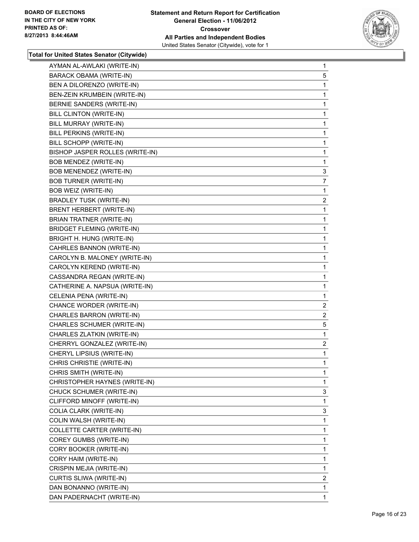

| AYMAN AL-AWLAKI (WRITE-IN) | $\mathbf{1}$                                                                                                                                                                                                                                                                                                                                                                                                                                                                                                                                                                                                                                                                                                                                                                                                                                                                                                                                                               |
|----------------------------|----------------------------------------------------------------------------------------------------------------------------------------------------------------------------------------------------------------------------------------------------------------------------------------------------------------------------------------------------------------------------------------------------------------------------------------------------------------------------------------------------------------------------------------------------------------------------------------------------------------------------------------------------------------------------------------------------------------------------------------------------------------------------------------------------------------------------------------------------------------------------------------------------------------------------------------------------------------------------|
| BARACK OBAMA (WRITE-IN)    | 5                                                                                                                                                                                                                                                                                                                                                                                                                                                                                                                                                                                                                                                                                                                                                                                                                                                                                                                                                                          |
|                            | 1                                                                                                                                                                                                                                                                                                                                                                                                                                                                                                                                                                                                                                                                                                                                                                                                                                                                                                                                                                          |
|                            | 1                                                                                                                                                                                                                                                                                                                                                                                                                                                                                                                                                                                                                                                                                                                                                                                                                                                                                                                                                                          |
|                            | 1                                                                                                                                                                                                                                                                                                                                                                                                                                                                                                                                                                                                                                                                                                                                                                                                                                                                                                                                                                          |
|                            | 1                                                                                                                                                                                                                                                                                                                                                                                                                                                                                                                                                                                                                                                                                                                                                                                                                                                                                                                                                                          |
|                            | 1                                                                                                                                                                                                                                                                                                                                                                                                                                                                                                                                                                                                                                                                                                                                                                                                                                                                                                                                                                          |
|                            | 1                                                                                                                                                                                                                                                                                                                                                                                                                                                                                                                                                                                                                                                                                                                                                                                                                                                                                                                                                                          |
|                            | 1                                                                                                                                                                                                                                                                                                                                                                                                                                                                                                                                                                                                                                                                                                                                                                                                                                                                                                                                                                          |
|                            | 1                                                                                                                                                                                                                                                                                                                                                                                                                                                                                                                                                                                                                                                                                                                                                                                                                                                                                                                                                                          |
|                            | 1                                                                                                                                                                                                                                                                                                                                                                                                                                                                                                                                                                                                                                                                                                                                                                                                                                                                                                                                                                          |
|                            | 3                                                                                                                                                                                                                                                                                                                                                                                                                                                                                                                                                                                                                                                                                                                                                                                                                                                                                                                                                                          |
|                            | 7                                                                                                                                                                                                                                                                                                                                                                                                                                                                                                                                                                                                                                                                                                                                                                                                                                                                                                                                                                          |
|                            | 1                                                                                                                                                                                                                                                                                                                                                                                                                                                                                                                                                                                                                                                                                                                                                                                                                                                                                                                                                                          |
|                            | $\overline{c}$                                                                                                                                                                                                                                                                                                                                                                                                                                                                                                                                                                                                                                                                                                                                                                                                                                                                                                                                                             |
|                            | 1                                                                                                                                                                                                                                                                                                                                                                                                                                                                                                                                                                                                                                                                                                                                                                                                                                                                                                                                                                          |
|                            | 1                                                                                                                                                                                                                                                                                                                                                                                                                                                                                                                                                                                                                                                                                                                                                                                                                                                                                                                                                                          |
|                            | 1                                                                                                                                                                                                                                                                                                                                                                                                                                                                                                                                                                                                                                                                                                                                                                                                                                                                                                                                                                          |
|                            | 1                                                                                                                                                                                                                                                                                                                                                                                                                                                                                                                                                                                                                                                                                                                                                                                                                                                                                                                                                                          |
|                            | 1                                                                                                                                                                                                                                                                                                                                                                                                                                                                                                                                                                                                                                                                                                                                                                                                                                                                                                                                                                          |
|                            | 1                                                                                                                                                                                                                                                                                                                                                                                                                                                                                                                                                                                                                                                                                                                                                                                                                                                                                                                                                                          |
|                            | 1                                                                                                                                                                                                                                                                                                                                                                                                                                                                                                                                                                                                                                                                                                                                                                                                                                                                                                                                                                          |
|                            | 1                                                                                                                                                                                                                                                                                                                                                                                                                                                                                                                                                                                                                                                                                                                                                                                                                                                                                                                                                                          |
|                            | 1                                                                                                                                                                                                                                                                                                                                                                                                                                                                                                                                                                                                                                                                                                                                                                                                                                                                                                                                                                          |
|                            | 1                                                                                                                                                                                                                                                                                                                                                                                                                                                                                                                                                                                                                                                                                                                                                                                                                                                                                                                                                                          |
|                            | 2                                                                                                                                                                                                                                                                                                                                                                                                                                                                                                                                                                                                                                                                                                                                                                                                                                                                                                                                                                          |
|                            | 2                                                                                                                                                                                                                                                                                                                                                                                                                                                                                                                                                                                                                                                                                                                                                                                                                                                                                                                                                                          |
|                            | 5                                                                                                                                                                                                                                                                                                                                                                                                                                                                                                                                                                                                                                                                                                                                                                                                                                                                                                                                                                          |
|                            | 1                                                                                                                                                                                                                                                                                                                                                                                                                                                                                                                                                                                                                                                                                                                                                                                                                                                                                                                                                                          |
|                            | $\overline{2}$                                                                                                                                                                                                                                                                                                                                                                                                                                                                                                                                                                                                                                                                                                                                                                                                                                                                                                                                                             |
|                            | 1                                                                                                                                                                                                                                                                                                                                                                                                                                                                                                                                                                                                                                                                                                                                                                                                                                                                                                                                                                          |
|                            | 1                                                                                                                                                                                                                                                                                                                                                                                                                                                                                                                                                                                                                                                                                                                                                                                                                                                                                                                                                                          |
|                            | 1                                                                                                                                                                                                                                                                                                                                                                                                                                                                                                                                                                                                                                                                                                                                                                                                                                                                                                                                                                          |
|                            | 1                                                                                                                                                                                                                                                                                                                                                                                                                                                                                                                                                                                                                                                                                                                                                                                                                                                                                                                                                                          |
| CHUCK SCHUMER (WRITE-IN)   | 3                                                                                                                                                                                                                                                                                                                                                                                                                                                                                                                                                                                                                                                                                                                                                                                                                                                                                                                                                                          |
| CLIFFORD MINOFF (WRITE-IN) |                                                                                                                                                                                                                                                                                                                                                                                                                                                                                                                                                                                                                                                                                                                                                                                                                                                                                                                                                                            |
| COLIA CLARK (WRITE-IN)     | 1                                                                                                                                                                                                                                                                                                                                                                                                                                                                                                                                                                                                                                                                                                                                                                                                                                                                                                                                                                          |
|                            | 3                                                                                                                                                                                                                                                                                                                                                                                                                                                                                                                                                                                                                                                                                                                                                                                                                                                                                                                                                                          |
| COLIN WALSH (WRITE-IN)     | 1                                                                                                                                                                                                                                                                                                                                                                                                                                                                                                                                                                                                                                                                                                                                                                                                                                                                                                                                                                          |
| COLLETTE CARTER (WRITE-IN) | 1                                                                                                                                                                                                                                                                                                                                                                                                                                                                                                                                                                                                                                                                                                                                                                                                                                                                                                                                                                          |
| COREY GUMBS (WRITE-IN)     | 1                                                                                                                                                                                                                                                                                                                                                                                                                                                                                                                                                                                                                                                                                                                                                                                                                                                                                                                                                                          |
| CORY BOOKER (WRITE-IN)     | 1                                                                                                                                                                                                                                                                                                                                                                                                                                                                                                                                                                                                                                                                                                                                                                                                                                                                                                                                                                          |
| CORY HAIM (WRITE-IN)       | 1                                                                                                                                                                                                                                                                                                                                                                                                                                                                                                                                                                                                                                                                                                                                                                                                                                                                                                                                                                          |
| CRISPIN MEJIA (WRITE-IN)   | 1                                                                                                                                                                                                                                                                                                                                                                                                                                                                                                                                                                                                                                                                                                                                                                                                                                                                                                                                                                          |
| CURTIS SLIWA (WRITE-IN)    | 2                                                                                                                                                                                                                                                                                                                                                                                                                                                                                                                                                                                                                                                                                                                                                                                                                                                                                                                                                                          |
| DAN BONANNO (WRITE-IN)     | 1                                                                                                                                                                                                                                                                                                                                                                                                                                                                                                                                                                                                                                                                                                                                                                                                                                                                                                                                                                          |
|                            | BEN A DILORENZO (WRITE-IN)<br>BEN-ZEIN KRUMBEIN (WRITE-IN)<br>BERNIE SANDERS (WRITE-IN)<br>BILL CLINTON (WRITE-IN)<br>BILL MURRAY (WRITE-IN)<br>BILL PERKINS (WRITE-IN)<br>BILL SCHOPP (WRITE-IN)<br>BISHOP JASPER ROLLES (WRITE-IN)<br>BOB MENDEZ (WRITE-IN)<br>BOB MENENDEZ (WRITE-IN)<br><b>BOB TURNER (WRITE-IN)</b><br>BOB WEIZ (WRITE-IN)<br><b>BRADLEY TUSK (WRITE-IN)</b><br>BRENT HERBERT (WRITE-IN)<br>BRIAN TRATNER (WRITE-IN)<br><b>BRIDGET FLEMING (WRITE-IN)</b><br>BRIGHT H. HUNG (WRITE-IN)<br>CAHRLES BANNON (WRITE-IN)<br>CAROLYN B. MALONEY (WRITE-IN)<br>CAROLYN KEREND (WRITE-IN)<br>CASSANDRA REGAN (WRITE-IN)<br>CATHERINE A. NAPSUA (WRITE-IN)<br>CELENIA PENA (WRITE-IN)<br>CHANCE WORDER (WRITE-IN)<br>CHARLES BARRON (WRITE-IN)<br>CHARLES SCHUMER (WRITE-IN)<br>CHARLES ZLATKIN (WRITE-IN)<br>CHERRYL GONZALEZ (WRITE-IN)<br>CHERYL LIPSIUS (WRITE-IN)<br>CHRIS CHRISTIE (WRITE-IN)<br>CHRIS SMITH (WRITE-IN)<br>CHRISTOPHER HAYNES (WRITE-IN) |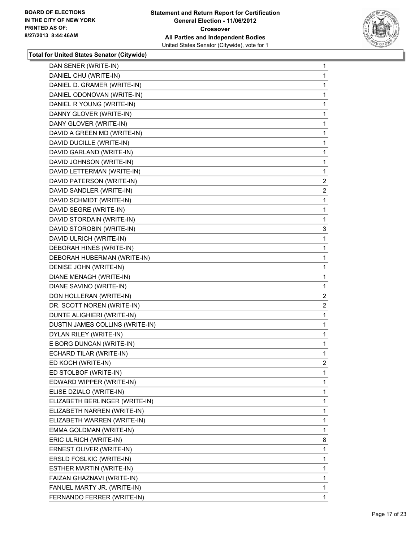

| DAN SENER (WRITE-IN)            | 1              |
|---------------------------------|----------------|
| DANIEL CHU (WRITE-IN)           | 1              |
| DANIEL D. GRAMER (WRITE-IN)     | 1              |
| DANIEL ODONOVAN (WRITE-IN)      | 1              |
| DANIEL R YOUNG (WRITE-IN)       | 1              |
| DANNY GLOVER (WRITE-IN)         | 1              |
| DANY GLOVER (WRITE-IN)          | 1              |
| DAVID A GREEN MD (WRITE-IN)     | 1              |
| DAVID DUCILLE (WRITE-IN)        | 1              |
| DAVID GARLAND (WRITE-IN)        | 1              |
| DAVID JOHNSON (WRITE-IN)        | 1              |
| DAVID LETTERMAN (WRITE-IN)      | 1              |
| DAVID PATERSON (WRITE-IN)       | $\overline{2}$ |
| DAVID SANDLER (WRITE-IN)        | $\mathbf{2}$   |
| DAVID SCHMIDT (WRITE-IN)        | 1              |
| DAVID SEGRE (WRITE-IN)          | 1              |
| DAVID STORDAIN (WRITE-IN)       | 1              |
| DAVID STOROBIN (WRITE-IN)       | 3              |
| DAVID ULRICH (WRITE-IN)         | 1              |
| DEBORAH HINES (WRITE-IN)        | 1              |
| DEBORAH HUBERMAN (WRITE-IN)     | 1              |
| DENISE JOHN (WRITE-IN)          | 1              |
| DIANE MENAGH (WRITE-IN)         | 1              |
| DIANE SAVINO (WRITE-IN)         | 1              |
| DON HOLLERAN (WRITE-IN)         | $\overline{2}$ |
| DR. SCOTT NOREN (WRITE-IN)      | 2              |
| DUNTE ALIGHIERI (WRITE-IN)      | 1              |
| DUSTIN JAMES COLLINS (WRITE-IN) | 1              |
| DYLAN RILEY (WRITE-IN)          | 1              |
| E BORG DUNCAN (WRITE-IN)        | 1              |
| ECHARD TILAR (WRITE-IN)         | 1              |
| ED KOCH (WRITE-IN)              | $\overline{2}$ |
| ED STOLBOF (WRITE-IN)           | 1              |
| EDWARD WIPPER (WRITE-IN)        | 1              |
| ELISE DZIALO (WRITE-IN)         | 1              |
| ELIZABETH BERLINGER (WRITE-IN)  | 1              |
| ELIZABETH NARREN (WRITE-IN)     | 1              |
| ELIZABETH WARREN (WRITE-IN)     | 1              |
| EMMA GOLDMAN (WRITE-IN)         | 1              |
| ERIC ULRICH (WRITE-IN)          | 8              |
|                                 |                |
| ERNEST OLIVER (WRITE-IN)        | 1              |
| ERSLD FOSLKIC (WRITE-IN)        | 1              |
| ESTHER MARTIN (WRITE-IN)        | 1              |
| FAIZAN GHAZNAVI (WRITE-IN)      | 1              |
| FANUEL MARTY JR. (WRITE-IN)     | 1              |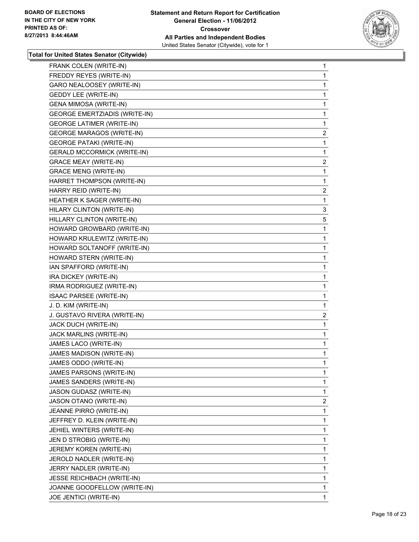

| FRANK COLEN (WRITE-IN)               | 1              |
|--------------------------------------|----------------|
| FREDDY REYES (WRITE-IN)              | 1              |
| <b>GARO NEALOOSEY (WRITE-IN)</b>     | 1              |
| <b>GEDDY LEE (WRITE-IN)</b>          | 1              |
| <b>GENA MIMOSA (WRITE-IN)</b>        | 1              |
| <b>GEORGE EMERTZIADIS (WRITE-IN)</b> | 1              |
| <b>GEORGE LATIMER (WRITE-IN)</b>     | 1              |
| <b>GEORGE MARAGOS (WRITE-IN)</b>     | 2              |
| <b>GEORGE PATAKI (WRITE-IN)</b>      | 1              |
| <b>GERALD MCCORMICK (WRITE-IN)</b>   | 1              |
| <b>GRACE MEAY (WRITE-IN)</b>         | 2              |
| <b>GRACE MENG (WRITE-IN)</b>         | 1              |
| HARRET THOMPSON (WRITE-IN)           | 1              |
| HARRY REID (WRITE-IN)                | 2              |
| HEATHER K SAGER (WRITE-IN)           | 1              |
| HILARY CLINTON (WRITE-IN)            | 3              |
| HILLARY CLINTON (WRITE-IN)           | 5              |
| HOWARD GROWBARD (WRITE-IN)           | 1              |
| HOWARD KRULEWITZ (WRITE-IN)          | 1              |
| HOWARD SOLTANOFF (WRITE-IN)          | 1              |
| HOWARD STERN (WRITE-IN)              | 1              |
| IAN SPAFFORD (WRITE-IN)              | 1              |
| IRA DICKEY (WRITE-IN)                | 1              |
| IRMA RODRIGUEZ (WRITE-IN)            | 1              |
| ISAAC PARSEE (WRITE-IN)              | 1              |
| J. D. KIM (WRITE-IN)                 | 1              |
| J. GUSTAVO RIVERA (WRITE-IN)         | 2              |
| JACK DUCH (WRITE-IN)                 | 1              |
| JACK MARLINS (WRITE-IN)              | 1              |
| JAMES LACO (WRITE-IN)                | 1              |
| JAMES MADISON (WRITE-IN)             | 1              |
| JAMES ODDO (WRITE-IN)                | 1              |
| JAMES PARSONS (WRITE-IN)             | 1              |
| JAMES SANDERS (WRITE-IN)             | 1              |
| JASON GUDASZ (WRITE-IN)              | 1              |
| JASON OTANO (WRITE-IN)               | $\overline{2}$ |
| JEANNE PIRRO (WRITE-IN)              | 1              |
| JEFFREY D. KLEIN (WRITE-IN)          | 1              |
| JEHIEL WINTERS (WRITE-IN)            | 1              |
| JEN D STROBIG (WRITE-IN)             | 1              |
| JEREMY KOREN (WRITE-IN)              | 1              |
| JEROLD NADLER (WRITE-IN)             | 1              |
| JERRY NADLER (WRITE-IN)              | 1              |
| <b>JESSE REICHBACH (WRITE-IN)</b>    | 1              |
| JOANNE GOODFELLOW (WRITE-IN)         | 1              |
| JOE JENTICI (WRITE-IN)               | 1              |
|                                      |                |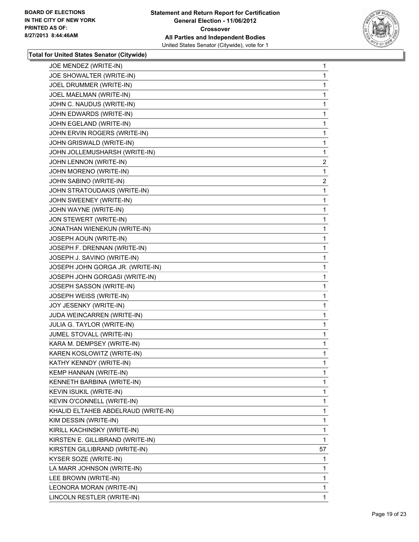

| JOE MENDEZ (WRITE-IN)               | 1              |
|-------------------------------------|----------------|
| JOE SHOWALTER (WRITE-IN)            | 1              |
| JOEL DRUMMER (WRITE-IN)             | 1              |
| JOEL MAELMAN (WRITE-IN)             | 1              |
| JOHN C. NAUDUS (WRITE-IN)           | 1              |
| JOHN EDWARDS (WRITE-IN)             | 1              |
| JOHN EGELAND (WRITE-IN)             | 1              |
| JOHN ERVIN ROGERS (WRITE-IN)        | 1              |
| JOHN GRISWALD (WRITE-IN)            | 1              |
| JOHN JOLLEMUSHARSH (WRITE-IN)       | 1              |
| JOHN LENNON (WRITE-IN)              | $\overline{c}$ |
| JOHN MORENO (WRITE-IN)              | 1              |
| JOHN SABINO (WRITE-IN)              | 2              |
| JOHN STRATOUDAKIS (WRITE-IN)        | 1              |
| JOHN SWEENEY (WRITE-IN)             | 1              |
| JOHN WAYNE (WRITE-IN)               | 1              |
| JON STEWERT (WRITE-IN)              | 1              |
| JONATHAN WIENEKUN (WRITE-IN)        | 1              |
| JOSEPH AOUN (WRITE-IN)              | 1              |
| JOSEPH F. DRENNAN (WRITE-IN)        | 1              |
| JOSEPH J. SAVINO (WRITE-IN)         | 1              |
| JOSEPH JOHN GORGA JR. (WRITE-IN)    | 1              |
| JOSEPH JOHN GORGASI (WRITE-IN)      | 1              |
| JOSEPH SASSON (WRITE-IN)            | 1              |
| JOSEPH WEISS (WRITE-IN)             | 1              |
| JOY JESENKY (WRITE-IN)              | 1              |
| JUDA WEINCARREN (WRITE-IN)          | 1              |
| JULIA G. TAYLOR (WRITE-IN)          | 1              |
| <b>JUMEL STOVALL (WRITE-IN)</b>     | 1              |
| KARA M. DEMPSEY (WRITE-IN)          | 1              |
| KAREN KOSLOWITZ (WRITE-IN)          | 1              |
| KATHY KENNDY (WRITE-IN)             | 1              |
| KEMP HANNAN (WRITE-IN)              | 1              |
| KENNETH BARBINA (WRITE-IN)          | $\mathbf{1}$   |
| KEVIN ISUKIL (WRITE-IN)             | 1              |
| KEVIN O'CONNELL (WRITE-IN)          | 1              |
| KHALID ELTAHEB ABDELRAUD (WRITE-IN) | 1              |
| KIM DESSIN (WRITE-IN)               | $\mathbf{1}$   |
| KIRILL KACHINSKY (WRITE-IN)         | 1              |
| KIRSTEN E. GILLIBRAND (WRITE-IN)    | 1              |
| KIRSTEN GILLIBRAND (WRITE-IN)       | 57             |
| KYSER SOZE (WRITE-IN)               | 1              |
| LA MARR JOHNSON (WRITE-IN)          | 1              |
| LEE BROWN (WRITE-IN)                | $\mathbf{1}$   |
| LEONORA MORAN (WRITE-IN)            | 1              |
| LINCOLN RESTLER (WRITE-IN)          | $\mathbf 1$    |
|                                     |                |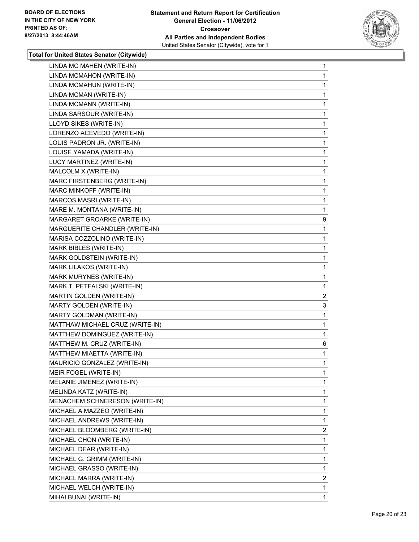

| LINDA MC MAHEN (WRITE-IN)       | $\mathbf{1}$   |
|---------------------------------|----------------|
| LINDA MCMAHON (WRITE-IN)        | 1              |
| LINDA MCMAHUN (WRITE-IN)        | 1              |
| LINDA MCMAN (WRITE-IN)          | 1              |
| LINDA MCMANN (WRITE-IN)         | 1              |
| LINDA SARSOUR (WRITE-IN)        | 1              |
| LLOYD SIKES (WRITE-IN)          | 1              |
| LORENZO ACEVEDO (WRITE-IN)      | 1              |
| LOUIS PADRON JR. (WRITE-IN)     | 1              |
| LOUISE YAMADA (WRITE-IN)        | 1              |
| LUCY MARTINEZ (WRITE-IN)        | 1              |
| MALCOLM X (WRITE-IN)            | 1              |
| MARC FIRSTENBERG (WRITE-IN)     | 1              |
| MARC MINKOFF (WRITE-IN)         | 1              |
| MARCOS MASRI (WRITE-IN)         | 1              |
| MARE M. MONTANA (WRITE-IN)      | 1              |
| MARGARET GROARKE (WRITE-IN)     | 9              |
| MARGUERITE CHANDLER (WRITE-IN)  | 1              |
| MARISA COZZOLINO (WRITE-IN)     | 1              |
| MARK BIBLES (WRITE-IN)          | 1              |
| MARK GOLDSTEIN (WRITE-IN)       | 1              |
| MARK LILAKOS (WRITE-IN)         | 1              |
| MARK MURYNES (WRITE-IN)         | 1              |
| MARK T. PETFALSKI (WRITE-IN)    | 1              |
| MARTIN GOLDEN (WRITE-IN)        | $\overline{2}$ |
| MARTY GOLDEN (WRITE-IN)         | 3              |
| MARTY GOLDMAN (WRITE-IN)        | 1              |
| MATTHAW MICHAEL CRUZ (WRITE-IN) | 1              |
| MATTHEW DOMINGUEZ (WRITE-IN)    | 1              |
| MATTHEW M. CRUZ (WRITE-IN)      | 6              |
| MATTHEW MIAETTA (WRITE-IN)      | 1              |
| MAURICIO GONZALEZ (WRITE-IN)    | 1              |
| MEIR FOGEL (WRITE-IN)           | 1              |
| MELANIE JIMENEZ (WRITE-IN)      | $\mathbf{1}$   |
| MELINDA KATZ (WRITE-IN)         | 1              |
| MENACHEM SCHNERESON (WRITE-IN)  | 1              |
| MICHAEL A MAZZEO (WRITE-IN)     | 1              |
| MICHAEL ANDREWS (WRITE-IN)      | 1              |
| MICHAEL BLOOMBERG (WRITE-IN)    | 2              |
| MICHAEL CHON (WRITE-IN)         | 1              |
| MICHAEL DEAR (WRITE-IN)         | 1              |
| MICHAEL G. GRIMM (WRITE-IN)     | 1              |
| MICHAEL GRASSO (WRITE-IN)       | 1              |
| MICHAEL MARRA (WRITE-IN)        | 2              |
| MICHAEL WELCH (WRITE-IN)        | 1              |
| MIHAI BUNAI (WRITE-IN)          | $\mathbf 1$    |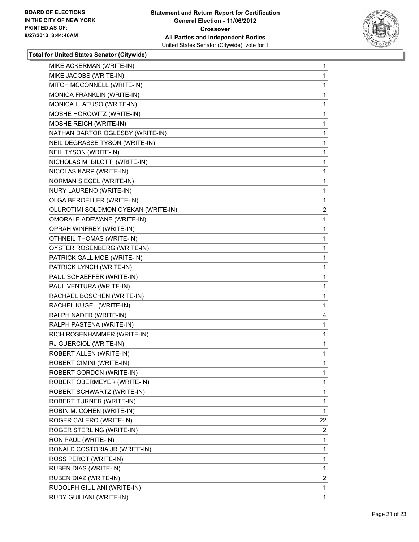

| MIKE ACKERMAN (WRITE-IN)            | 1              |
|-------------------------------------|----------------|
| MIKE JACOBS (WRITE-IN)              | 1              |
| MITCH MCCONNELL (WRITE-IN)          | 1              |
| MONICA FRANKLIN (WRITE-IN)          | 1              |
| MONICA L. ATUSO (WRITE-IN)          | 1              |
| MOSHE HOROWITZ (WRITE-IN)           | 1              |
| MOSHE REICH (WRITE-IN)              | 1              |
| NATHAN DARTOR OGLESBY (WRITE-IN)    | 1              |
| NEIL DEGRASSE TYSON (WRITE-IN)      | 1              |
| NEIL TYSON (WRITE-IN)               | 1              |
| NICHOLAS M. BILOTTI (WRITE-IN)      | 1              |
| NICOLAS KARP (WRITE-IN)             | 1              |
| NORMAN SIEGEL (WRITE-IN)            | 1              |
| NURY LAURENO (WRITE-IN)             | 1              |
| OLGA BEROELLER (WRITE-IN)           | 1              |
| OLUROTIMI SOLOMON OYEKAN (WRITE-IN) | $\overline{2}$ |
| OMORALE ADEWANE (WRITE-IN)          | 1              |
| OPRAH WINFREY (WRITE-IN)            | 1              |
| <b>OTHNEIL THOMAS (WRITE-IN)</b>    | 1              |
| OYSTER ROSENBERG (WRITE-IN)         | 1              |
| PATRICK GALLIMOE (WRITE-IN)         | 1              |
| PATRICK LYNCH (WRITE-IN)            | 1              |
| PAUL SCHAEFFER (WRITE-IN)           | 1              |
| PAUL VENTURA (WRITE-IN)             | 1              |
| RACHAEL BOSCHEN (WRITE-IN)          | 1              |
| RACHEL KUGEL (WRITE-IN)             | 1              |
| RALPH NADER (WRITE-IN)              | 4              |
| RALPH PASTENA (WRITE-IN)            | $\mathbf{1}$   |
| RICH ROSENHAMMER (WRITE-IN)         | 1              |
| RJ GUERCIOL (WRITE-IN)              | 1              |
| ROBERT ALLEN (WRITE-IN)             | 1              |
| ROBERT CIMINI (WRITE-IN)            | 1              |
| ROBERT GORDON (WRITE-IN)            | 1              |
| ROBERT OBERMEYER (WRITE-IN)         | 1              |
| ROBERT SCHWARTZ (WRITE-IN)          | 1              |
| ROBERT TURNER (WRITE-IN)            | 1              |
| ROBIN M. COHEN (WRITE-IN)           | 1              |
| ROGER CALERO (WRITE-IN)             | 22             |
| ROGER STERLING (WRITE-IN)           | 2              |
| RON PAUL (WRITE-IN)                 | 1              |
| RONALD COSTORIA JR (WRITE-IN)       | 1              |
| ROSS PEROT (WRITE-IN)               | 1              |
| RUBEN DIAS (WRITE-IN)               | 1              |
| RUBEN DIAZ (WRITE-IN)               | 2              |
| RUDOLPH GIULIANI (WRITE-IN)         | 1              |
| RUDY GUILIANI (WRITE-IN)            | 1              |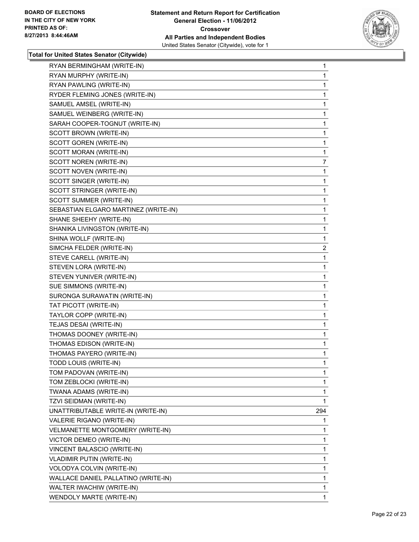

| RYAN BERMINGHAM (WRITE-IN)           | 1              |
|--------------------------------------|----------------|
| RYAN MURPHY (WRITE-IN)               | 1              |
| RYAN PAWLING (WRITE-IN)              | 1              |
| RYDER FLEMING JONES (WRITE-IN)       | 1              |
| SAMUEL AMSEL (WRITE-IN)              | 1              |
| SAMUEL WEINBERG (WRITE-IN)           | 1              |
| SARAH COOPER-TOGNUT (WRITE-IN)       | 1              |
| SCOTT BROWN (WRITE-IN)               | 1              |
| SCOTT GOREN (WRITE-IN)               | 1              |
| SCOTT MORAN (WRITE-IN)               | 1              |
| SCOTT NOREN (WRITE-IN)               | $\overline{7}$ |
| SCOTT NOVEN (WRITE-IN)               | 1              |
| SCOTT SINGER (WRITE-IN)              | 1              |
| SCOTT STRINGER (WRITE-IN)            | 1              |
| SCOTT SUMMER (WRITE-IN)              | 1              |
| SEBASTIAN ELGARO MARTINEZ (WRITE-IN) | 1              |
| SHANE SHEEHY (WRITE-IN)              | 1              |
| SHANIKA LIVINGSTON (WRITE-IN)        | 1              |
| SHINA WOLLF (WRITE-IN)               | 1              |
| SIMCHA FELDER (WRITE-IN)             | $\overline{2}$ |
| STEVE CARELL (WRITE-IN)              | 1              |
| STEVEN LORA (WRITE-IN)               | 1              |
| STEVEN YUNIVER (WRITE-IN)            | 1              |
| SUE SIMMONS (WRITE-IN)               | 1              |
| SURONGA SURAWATIN (WRITE-IN)         | 1              |
| TAT PICOTT (WRITE-IN)                | 1              |
| TAYLOR COPP (WRITE-IN)               | 1              |
| TEJAS DESAI (WRITE-IN)               | 1              |
| THOMAS DOONEY (WRITE-IN)             | 1              |
| THOMAS EDISON (WRITE-IN)             | 1              |
| THOMAS PAYERO (WRITE-IN)             | 1              |
| TODD LOUIS (WRITE-IN)                | 1              |
| TOM PADOVAN (WRITE-IN)               | 1              |
| TOM ZEBLOCKI (WRITE-IN)              | 1              |
| TWANA ADAMS (WRITE-IN)               | 1              |
| TZVI SEIDMAN (WRITE-IN)              | 1              |
| UNATTRIBUTABLE WRITE-IN (WRITE-IN)   | 294            |
| VALERIE RIGANO (WRITE-IN)            | 1              |
| VELMANETTE MONTGOMERY (WRITE-IN)     | 1              |
| VICTOR DEMEO (WRITE-IN)              | 1              |
| VINCENT BALASCIO (WRITE-IN)          | 1              |
| VLADIMIR PUTIN (WRITE-IN)            | 1              |
| VOLODYA COLVIN (WRITE-IN)            | 1              |
| WALLACE DANIEL PALLATINO (WRITE-IN)  | 1              |
| WALTER IWACHIW (WRITE-IN)            | 1              |
| WENDOLY MARTE (WRITE-IN)             | 1.             |